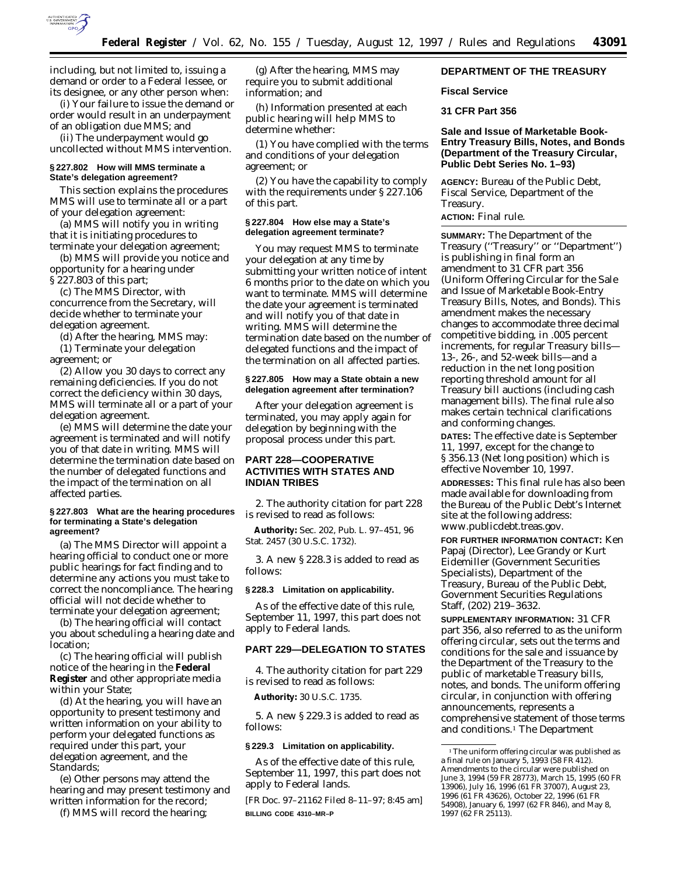

including, but not limited to, issuing a demand or order to a Federal lessee, or its designee, or any other person when:

(i) Your failure to issue the demand or order would result in an underpayment of an obligation due MMS; and

(ii) The underpayment would go uncollected without MMS intervention.

## **§ 227.802 How will MMS terminate a State's delegation agreement?**

This section explains the procedures MMS will use to terminate all or a part of your delegation agreement:

(a) MMS will notify you in writing that it is initiating procedures to terminate your delegation agreement;

(b) MMS will provide you notice and opportunity for a hearing under § 227.803 of this part;

(c) The MMS Director, with concurrence from the Secretary, will decide whether to terminate your delegation agreement.

(d) After the hearing, MMS may:

(1) Terminate your delegation agreement; or

(2) Allow you 30 days to correct any remaining deficiencies. If you do not correct the deficiency within 30 days, MMS will terminate all or a part of your delegation agreement.

(e) MMS will determine the date your agreement is terminated and will notify you of that date in writing. MMS will determine the termination date based on the number of delegated functions and the impact of the termination on all affected parties.

#### **§ 227.803 What are the hearing procedures for terminating a State's delegation agreement?**

(a) The MMS Director will appoint a hearing official to conduct one or more public hearings for fact finding and to determine any actions you must take to correct the noncompliance. The hearing official will not decide whether to terminate your delegation agreement;

(b) The hearing official will contact you about scheduling a hearing date and location;

(c) The hearing official will publish notice of the hearing in the **Federal Register** and other appropriate media within your State;

(d) At the hearing, you will have an opportunity to present testimony and written information on your ability to perform your delegated functions as required under this part, your delegation agreement, and the *Standards*;

(e) Other persons may attend the hearing and may present testimony and written information for the record;

(f) MMS will record the hearing;

(g) After the hearing, MMS may require you to submit additional information; and

(h) Information presented at each public hearing will help MMS to determine whether:

(1) You have complied with the terms and conditions of your delegation agreement; or

(2) You have the capability to comply with the requirements under § 227.106 of this part.

#### **§ 227.804 How else may a State's delegation agreement terminate?**

You may request MMS to terminate your delegation at any time by submitting your written notice of intent 6 months prior to the date on which you want to terminate. MMS will determine the date your agreement is terminated and will notify you of that date in writing. MMS will determine the termination date based on the number of delegated functions and the impact of the termination on all affected parties.

### **§ 227.805 How may a State obtain a new delegation agreement after termination?**

After your delegation agreement is terminated, you may apply again for delegation by beginning with the proposal process under this part.

# **PART 228—COOPERATIVE ACTIVITIES WITH STATES AND INDIAN TRIBES**

2. The authority citation for part 228 is revised to read as follows:

**Authority:** Sec. 202, Pub. L. 97–451, 96 Stat. 2457 (30 U.S.C. 1732).

3. A new § 228.3 is added to read as follows:

#### **§ 228.3 Limitation on applicability.**

As of the effective date of this rule, September 11, 1997, this part does not apply to Federal lands.

# **PART 229—DELEGATION TO STATES**

4. The authority citation for part 229 is revised to read as follows:

**Authority:** 30 U.S.C. 1735.

5. A new § 229.3 is added to read as follows:

# **§ 229.3 Limitation on applicability.**

As of the effective date of this rule, September 11, 1997, this part does not apply to Federal lands.

[FR Doc. 97–21162 Filed 8–11–97; 8:45 am] **BILLING CODE 4310–MR–P**

# **DEPARTMENT OF THE TREASURY**

### **Fiscal Service**

# **31 CFR Part 356**

# **Sale and Issue of Marketable Book-Entry Treasury Bills, Notes, and Bonds (Department of the Treasury Circular, Public Debt Series No. 1–93)**

**AGENCY:** Bureau of the Public Debt, Fiscal Service, Department of the Treasury.

# **ACTION:** Final rule.

**SUMMARY:** The Department of the Treasury (''Treasury'' or ''Department'') is publishing in final form an amendment to 31 CFR part 356 (Uniform Offering Circular for the Sale and Issue of Marketable Book-Entry Treasury Bills, Notes, and Bonds). This amendment makes the necessary changes to accommodate three decimal competitive bidding, in .005 percent increments, for regular Treasury bills— 13-, 26-, and 52-week bills—and a reduction in the net long position reporting threshold amount for all Treasury bill auctions (including cash management bills). The final rule also makes certain technical clarifications and conforming changes.

**DATES:** The effective date is September 11, 1997, except for the change to § 356.13 (Net long position) which is effective November 10, 1997.

**ADDRESSES:** This final rule has also been made available for downloading from the Bureau of the Public Debt's Internet site at the following address: www.publicdebt.treas.gov.

**FOR FURTHER INFORMATION CONTACT:** Ken Papaj (Director), Lee Grandy or Kurt Eidemiller (Government Securities Specialists), Department of the Treasury, Bureau of the Public Debt, Government Securities Regulations Staff, (202) 219–3632.

**SUPPLEMENTARY INFORMATION:** 31 CFR part 356, also referred to as the uniform offering circular, sets out the terms and conditions for the sale and issuance by the Department of the Treasury to the public of marketable Treasury bills, notes, and bonds. The uniform offering circular, in conjunction with offering announcements, represents a comprehensive statement of those terms and conditions.1 The Department

<sup>&</sup>lt;sup>1</sup>The uniform offering circular was published as a final rule on January 5, 1993 (58 FR 412). Amendments to the circular were published on June 3, 1994 (59 FR 28773), March 15, 1995 (60 FR 13906), July 16, 1996 (61 FR 37007), August 23, 1996 (61 FR 43626), October 22, 1996 (61 FR 54908), January 6, 1997 (62 FR 846), and May 8, 1997 (62 FR 25113).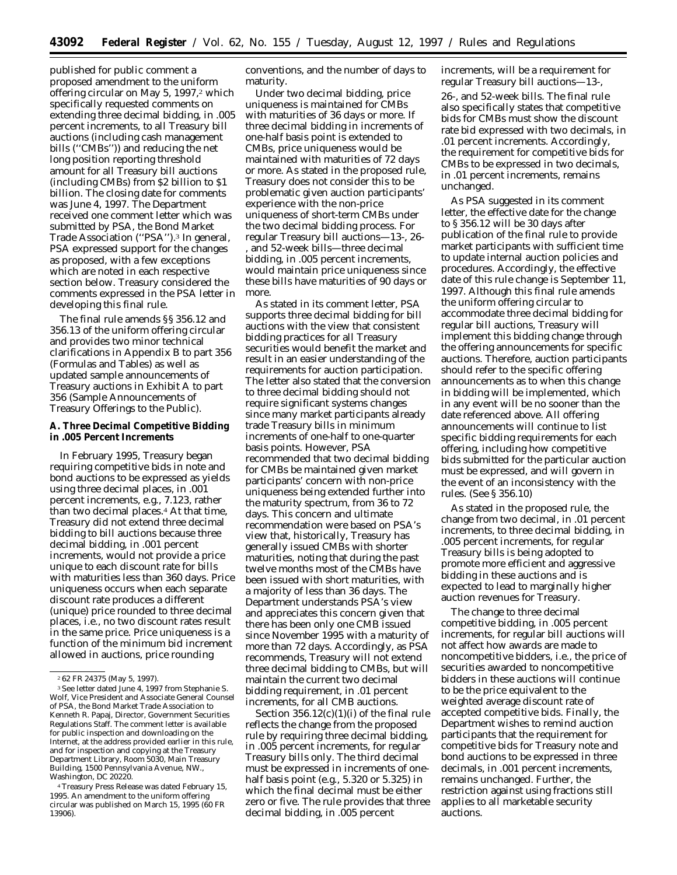published for public comment a proposed amendment to the uniform offering circular on May 5, 1997,<sup>2</sup> which specifically requested comments on extending three decimal bidding, in .005 percent increments, to all Treasury bill auctions (including cash management bills (''CMBs'')) and reducing the net long position reporting threshold amount for all Treasury bill auctions (including CMBs) from \$2 billion to \$1 billion. The closing date for comments was June 4, 1997. The Department received one comment letter which was submitted by PSA, the Bond Market Trade Association (''PSA'').3 In general, PSA expressed support for the changes as proposed, with a few exceptions which are noted in each respective section below. Treasury considered the comments expressed in the PSA letter in developing this final rule.

The final rule amends §§ 356.12 and 356.13 of the uniform offering circular and provides two minor technical clarifications in Appendix B to part 356 (Formulas and Tables) as well as updated sample announcements of Treasury auctions in Exhibit A to part 356 (Sample Announcements of Treasury Offerings to the Public).

# **A. Three Decimal Competitive Bidding in .005 Percent Increments**

In February 1995, Treasury began requiring competitive bids in note and bond auctions to be expressed as yields using three decimal places, in .001 percent increments, e.g., 7.123, rather than two decimal places.<sup>4</sup> At that time, Treasury did not extend three decimal bidding to bill auctions because three decimal bidding, in .001 percent increments, would not provide a price unique to each discount rate for bills with maturities less than 360 days. Price uniqueness occurs when each separate discount rate produces a different (unique) price rounded to three decimal places, i.e., no two discount rates result in the same price. Price uniqueness is a function of the minimum bid increment allowed in auctions, price rounding

4Treasury Press Release was dated February 15, 1995. An amendment to the uniform offering circular was published on March 15, 1995 (60 FR 13906).

conventions, and the number of days to maturity.

Under two decimal bidding, price uniqueness is maintained for CMBs with maturities of 36 days or more. If three decimal bidding in increments of one-half basis point is extended to CMBs, price uniqueness would be maintained with maturities of 72 days or more. As stated in the proposed rule, Treasury does not consider this to be problematic given auction participants' experience with the non-price uniqueness of short-term CMBs under the two decimal bidding process. For regular Treasury bill auctions—13-, 26- , and 52-week bills—three decimal bidding, in .005 percent increments, would maintain price uniqueness since these bills have maturities of 90 days or more.

As stated in its comment letter, PSA supports three decimal bidding for bill auctions with the view that consistent bidding practices for all Treasury securities would benefit the market and result in an easier understanding of the requirements for auction participation. The letter also stated that the conversion to three decimal bidding should not require significant systems changes since many market participants already trade Treasury bills in minimum increments of one-half to one-quarter basis points. However, PSA recommended that two decimal bidding for CMBs be maintained given market participants' concern with non-price uniqueness being extended further into the maturity spectrum, from 36 to 72 days. This concern and ultimate recommendation were based on PSA's view that, historically, Treasury has generally issued CMBs with shorter maturities, noting that during the past twelve months most of the CMBs have been issued with short maturities, with a majority of less than 36 days. The Department understands PSA's view and appreciates this concern given that there has been only one CMB issued since November 1995 with a maturity of more than 72 days. Accordingly, as PSA recommends, Treasury will not extend three decimal bidding to CMBs, but will maintain the current two decimal bidding requirement, in .01 percent increments, for all CMB auctions.

Section  $356.12(c)(1)(i)$  of the final rule reflects the change from the proposed rule by requiring three decimal bidding, in .005 percent increments, for regular Treasury bills only. The third decimal must be expressed in increments of onehalf basis point (e.g., 5.320 or 5.325) in which the final decimal must be either zero or five. The rule provides that three decimal bidding, in .005 percent

increments, will be a requirement for regular Treasury bill auctions—13-,

26-, and 52-week bills. The final rule also specifically states that competitive bids for CMBs must show the discount rate bid expressed with two decimals, in .01 percent increments. Accordingly, the requirement for competitive bids for CMBs to be expressed in two decimals, in .01 percent increments, remains unchanged.

As PSA suggested in its comment letter, the effective date for the change to § 356.12 will be 30 days after publication of the final rule to provide market participants with sufficient time to update internal auction policies and procedures. Accordingly, the effective date of this rule change is September 11, 1997. Although this final rule amends the uniform offering circular to accommodate three decimal bidding for regular bill auctions, Treasury will implement this bidding change through the offering announcements for specific auctions. Therefore, auction participants should refer to the specific offering announcements as to when this change in bidding will be implemented, which in any event will be no sooner than the date referenced above. All offering announcements will continue to list specific bidding requirements for each offering, including how competitive bids submitted for the particular auction must be expressed, and will govern in the event of an inconsistency with the rules. (See § 356.10)

As stated in the proposed rule, the change from two decimal, in .01 percent increments, to three decimal bidding, in .005 percent increments, for regular Treasury bills is being adopted to promote more efficient and aggressive bidding in these auctions and is expected to lead to marginally higher auction revenues for Treasury.

The change to three decimal competitive bidding, in .005 percent increments, for regular bill auctions will not affect how awards are made to noncompetitive bidders, i.e., the price of securities awarded to noncompetitive bidders in these auctions will continue to be the price equivalent to the weighted average discount rate of accepted competitive bids. Finally, the Department wishes to remind auction participants that the requirement for competitive bids for Treasury note and bond auctions to be expressed in three decimals, in .001 percent increments, remains unchanged. Further, the restriction against using fractions still applies to all marketable security auctions.

<sup>2</sup> 62 FR 24375 (May 5, 1997).

<sup>3</sup>See letter dated June 4, 1997 from Stephanie S. Wolf, Vice President and Associate General Counsel of PSA, the Bond Market Trade Association to Kenneth R. Papaj, Director, Government Securities Regulations Staff. The comment letter is available for public inspection and downloading on the Internet, at the address provided earlier in this rule, and for inspection and copying at the Treasury Department Library, Room 5030, Main Treasury Building, 1500 Pennsylvania Avenue, NW., Washington, DC 20220.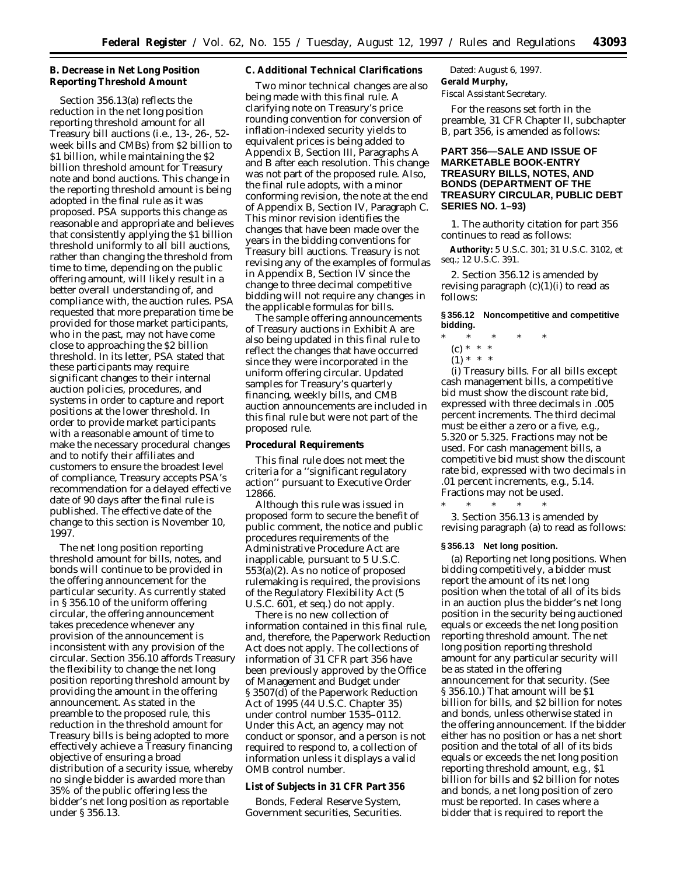# **B. Decrease in Net Long Position Reporting Threshold Amount**

Section 356.13(a) reflects the reduction in the net long position reporting threshold amount for all Treasury bill auctions (i.e., 13-, 26-, 52 week bills and CMBs) from \$2 billion to \$1 billion, while maintaining the \$2 billion threshold amount for Treasury note and bond auctions. This change in the reporting threshold amount is being adopted in the final rule as it was proposed. PSA supports this change as reasonable and appropriate and believes that consistently applying the \$1 billion threshold uniformly to all bill auctions, rather than changing the threshold from time to time, depending on the public offering amount, will likely result in a better overall understanding of, and compliance with, the auction rules. PSA requested that more preparation time be provided for those market participants, who in the past, may not have come close to approaching the \$2 billion threshold. In its letter, PSA stated that these participants may require significant changes to their internal auction policies, procedures, and systems in order to capture and report positions at the lower threshold. In order to provide market participants with a reasonable amount of time to make the necessary procedural changes and to notify their affiliates and customers to ensure the broadest level of compliance, Treasury accepts PSA's recommendation for a delayed effective date of 90 days after the final rule is published. The effective date of the change to this section is November 10, 1997.

The net long position reporting threshold amount for bills, notes, and bonds will continue to be provided in the offering announcement for the particular security. As currently stated in § 356.10 of the uniform offering circular, the offering announcement takes precedence whenever any provision of the announcement is inconsistent with any provision of the circular. Section 356.10 affords Treasury the flexibility to change the net long position reporting threshold amount by providing the amount in the offering announcement. As stated in the preamble to the proposed rule, this reduction in the threshold amount for Treasury bills is being adopted to more effectively achieve a Treasury financing objective of ensuring a broad distribution of a security issue, whereby no single bidder is awarded more than 35% of the public offering less the bidder's net long position as reportable under § 356.13.

## **C. Additional Technical Clarifications**

Two minor technical changes are also being made with this final rule. A clarifying note on Treasury's price rounding convention for conversion of inflation-indexed security yields to equivalent prices is being added to Appendix B, Section III, Paragraphs A and B after each resolution. This change was not part of the proposed rule. Also, the final rule adopts, with a minor conforming revision, the note at the end of Appendix B, Section IV, Paragraph C. This minor revision identifies the changes that have been made over the years in the bidding conventions for Treasury bill auctions. Treasury is not revising any of the examples of formulas in Appendix B, Section IV since the change to three decimal competitive bidding will not require any changes in the applicable formulas for bills.

The sample offering announcements of Treasury auctions in Exhibit A are also being updated in this final rule to reflect the changes that have occurred since they were incorporated in the uniform offering circular. Updated samples for Treasury's quarterly financing, weekly bills, and CMB auction announcements are included in this final rule but were not part of the proposed rule.

#### **Procedural Requirements**

This final rule does not meet the criteria for a ''significant regulatory action'' pursuant to Executive Order 12866.

Although this rule was issued in proposed form to secure the benefit of public comment, the notice and public procedures requirements of the Administrative Procedure Act are inapplicable, pursuant to 5 U.S.C. 553(a)(2). As no notice of proposed rulemaking is required, the provisions of the Regulatory Flexibility Act (5 U.S.C. 601, *et seq.*) do not apply.

There is no new collection of information contained in this final rule, and, therefore, the Paperwork Reduction Act does not apply. The collections of information of 31 CFR part 356 have been previously approved by the Office of Management and Budget under § 3507(d) of the Paperwork Reduction Act of 1995 (44 U.S.C. Chapter 35) under control number 1535–0112. Under this Act, an agency may not conduct or sponsor, and a person is not required to respond to, a collection of information unless it displays a valid OMB control number.

#### **List of Subjects in 31 CFR Part 356**

Bonds, Federal Reserve System, Government securities, Securities.

Dated: August 6, 1997. **Gerald Murphy,**

*Fiscal Assistant Secretary.*

For the reasons set forth in the preamble, 31 CFR Chapter II, subchapter B, part 356, is amended as follows:

# **PART 356—SALE AND ISSUE OF MARKETABLE BOOK-ENTRY TREASURY BILLS, NOTES, AND BONDS (DEPARTMENT OF THE TREASURY CIRCULAR, PUBLIC DEBT SERIES NO. 1–93)**

1. The authority citation for part 356 continues to read as follows:

**Authority:** 5 U.S.C. 301; 31 U.S.C. 3102, *et seq.*; 12 U.S.C. 391.

2. Section 356.12 is amended by revising paragraph  $(c)(1)(i)$  to read as follows:

**§ 356.12 Noncompetitive and competitive bidding.**

- \* \* \* \* \*
	- (c) \* \* \*
	- $(1) * * * *$

(i) *Treasury bills.* For all bills except cash management bills, a competitive bid must show the discount rate bid, expressed with three decimals in .005 percent increments. The third decimal must be either a zero or a five, e.g., 5.320 or 5.325. Fractions may not be used. For cash management bills, a competitive bid must show the discount rate bid, expressed with two decimals in .01 percent increments, e.g., 5.14. Fractions may not be used.

\* \* \* \* \*

3. Section 356.13 is amended by revising paragraph (a) to read as follows:

#### **§ 356.13 Net long position.**

(a) *Reporting net long positions.* When bidding competitively, a bidder must report the amount of its net long position when the total of all of its bids in an auction plus the bidder's net long position in the security being auctioned equals or exceeds the net long position reporting threshold amount. The net long position reporting threshold amount for any particular security will be as stated in the offering announcement for that security. (See § 356.10.) That amount will be \$1 billion for bills, and \$2 billion for notes and bonds, unless otherwise stated in the offering announcement. If the bidder either has no position or has a net short position and the total of all of its bids equals or exceeds the net long position reporting threshold amount, e.g., \$1 billion for bills and \$2 billion for notes and bonds, a net long position of zero must be reported. In cases where a bidder that is required to report the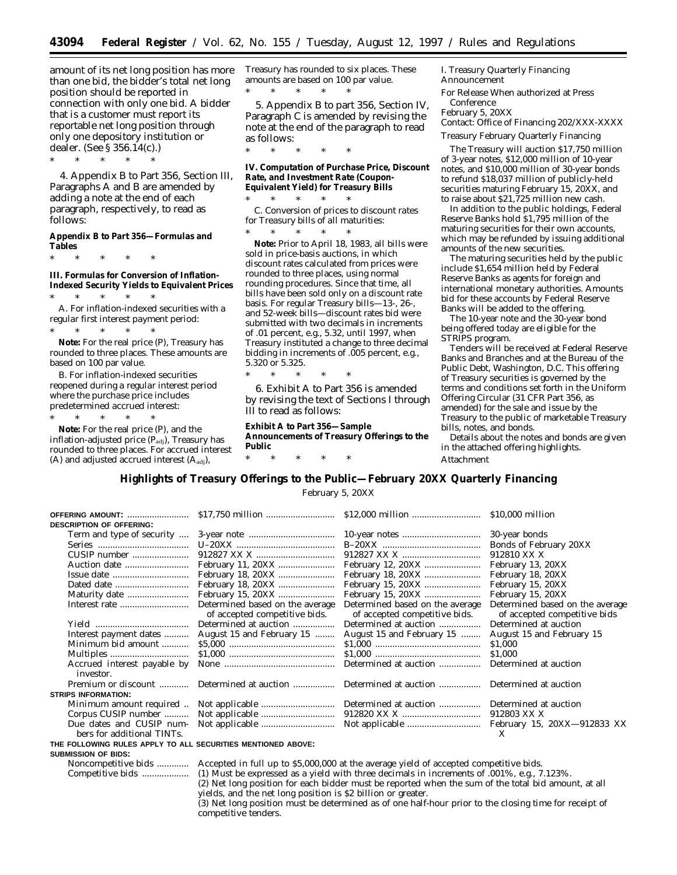\* \* \* \* \*

amount of its net long position has more than one bid, the bidder's total net long position should be reported in connection with only one bid. A bidder that is a customer must report its reportable net long position through only one depository institution or dealer. (See § 356.14(c).)

\* \* \* \* \*

4. Appendix B to Part 356, Section III, Paragraphs A and B are amended by adding a note at the end of each paragraph, respectively, to read as follows:

### **Appendix B to Part 356—Formulas and Tables**

\* \* \* \* \*

**III. Formulas for Conversion of Inflation-Indexed Security Yields to Equivalent Prices**

\* \* \* \* \* A. *For inflation-indexed securities with a regular first interest payment period:* \* \* \* \* \*

**Note:** For the real price (P), Treasury has rounded to three places. These amounts are based on 100 par value.

B. *For inflation-indexed securities reopened during a regular interest period where the purchase price includes predetermined accrued interest:*

\* \* \* \* \* **Note:** For the real price (P), and the inflation-adjusted price  $(P_{\text{adj}})$ , Treasury has rounded to three places. For accrued interest (A) and adjusted accrued interest  $(A<sub>adj</sub>)$ ,

Treasury has rounded to six places. These amounts are based on 100 par value. \* \* \* \* \*

5. Appendix B to part 356, Section IV, Paragraph C is amended by revising the note at the end of the paragraph to read as follows:

**IV. Computation of Purchase Price, Discount Rate, and Investment Rate (Coupon-Equivalent Yield) for Treasury Bills**

\* \* \* \* \* C. *Conversion of prices to discount rates for Treasury bills of all maturities:*

\* \* \* \* \* **Note:** Prior to April 18, 1983, all bills were sold in price-basis auctions, in which discount rates calculated from prices were rounded to three places, using normal rounding procedures. Since that time, all bills have been sold only on a discount rate basis. For regular Treasury bills—13-, 26-, and 52-week bills—discount rates bid were submitted with two decimals in increments of .01 percent, e.g., 5.32, until 1997, when Treasury instituted a change to three decimal bidding in increments of .005 percent, e.g., 5.320 or 5.325.

\* \* \* \* \*

\* \* \* \* \*

6. Exhibit A to Part 356 is amended by revising the text of Sections I through III to read as follows:

**Exhibit A to Part 356—Sample Announcements of Treasury Offerings to the Public**

I. Treasury Quarterly Financing Announcement For Release When authorized at Press

**Conference** February 5, 20XX

Contact: Office of Financing 202/XXX-XXXX

Treasury February Quarterly Financing

The Treasury will auction \$17,750 million of 3-year notes, \$12,000 million of 10-year notes, and \$10,000 million of 30-year bonds to refund \$18,037 million of publicly-held securities maturing February 15, 20XX, and to raise about \$21,725 million new cash.

In addition to the public holdings, Federal Reserve Banks hold \$1,795 million of the maturing securities for their own accounts, which may be refunded by issuing additional amounts of the new securities.

The maturing securities held by the public include \$1,654 million held by Federal Reserve Banks as agents for foreign and international monetary authorities. Amounts bid for these accounts by Federal Reserve Banks will be added to the offering.

The 10-year note and the 30-year bond being offered today are eligible for the STRIPS program.

Tenders will be received at Federal Reserve Banks and Branches and at the Bureau of the Public Debt, Washington, D.C. This offering of Treasury securities is governed by the terms and conditions set forth in the Uniform Offering Circular (31 CFR Part 356, as amended) for the sale and issue by the Treasury to the public of marketable Treasury bills, notes, and bonds.

Details about the notes and bonds are given in the attached offering highlights. Attachment

**Highlights of Treasury Offerings to the Public—February 20XX Quarterly Financing**

February 5, 20XX

|                                                              | OFFERING AMOUNT:                                       |                                                                                                            |                                                                  | \$10,000 million                                                |  |  |  |
|--------------------------------------------------------------|--------------------------------------------------------|------------------------------------------------------------------------------------------------------------|------------------------------------------------------------------|-----------------------------------------------------------------|--|--|--|
| DESCRIPTION OF OFFERING:                                     |                                                        |                                                                                                            |                                                                  |                                                                 |  |  |  |
|                                                              | Term and type of security                              |                                                                                                            |                                                                  | 30-year bonds                                                   |  |  |  |
|                                                              |                                                        |                                                                                                            |                                                                  | Bonds of February 20XX                                          |  |  |  |
|                                                              | CUSIP number                                           |                                                                                                            |                                                                  | 912810 XX X                                                     |  |  |  |
|                                                              | Auction date                                           |                                                                                                            |                                                                  | February 13, 20XX                                               |  |  |  |
|                                                              |                                                        |                                                                                                            |                                                                  | February 18, 20XX                                               |  |  |  |
|                                                              |                                                        |                                                                                                            |                                                                  | February 15, 20XX                                               |  |  |  |
|                                                              |                                                        |                                                                                                            |                                                                  | February 15, 20XX                                               |  |  |  |
|                                                              |                                                        | Determined based on the average<br>of accepted competitive bids.                                           | Determined based on the average<br>of accepted competitive bids. | Determined based on the average<br>of accepted competitive bids |  |  |  |
|                                                              |                                                        | Determined at auction                                                                                      | Determined at auction                                            | Determined at auction                                           |  |  |  |
|                                                              | Interest payment dates                                 | August 15 and February 15                                                                                  | August 15 and February 15                                        | August 15 and February 15                                       |  |  |  |
|                                                              | Minimum bid amount                                     |                                                                                                            |                                                                  | \$1,000                                                         |  |  |  |
|                                                              |                                                        |                                                                                                            |                                                                  | \$1,000                                                         |  |  |  |
|                                                              | Accrued interest payable by<br>investor.               |                                                                                                            | Determined at auction                                            | Determined at auction                                           |  |  |  |
|                                                              | Premium or discount                                    | Determined at auction                                                                                      | Determined at auction                                            | Determined at auction                                           |  |  |  |
| <b>STRIPS INFORMATION:</b>                                   |                                                        |                                                                                                            |                                                                  |                                                                 |  |  |  |
|                                                              | Minimum amount required                                |                                                                                                            |                                                                  | Determined at auction                                           |  |  |  |
|                                                              | Corpus CUSIP number                                    |                                                                                                            |                                                                  | 912803 XX X                                                     |  |  |  |
|                                                              | Due dates and CUSIP num-<br>bers for additional TINTs. |                                                                                                            |                                                                  | X                                                               |  |  |  |
| THE FOLLOWING RULES APPLY TO ALL SECURITIES MENTIONED ABOVE: |                                                        |                                                                                                            |                                                                  |                                                                 |  |  |  |
| Submission of Bids:                                          |                                                        |                                                                                                            |                                                                  |                                                                 |  |  |  |
|                                                              |                                                        | Noncompetitive bids  Accepted in full up to \$5,000,000 at the average yield of accepted competitive bids. |                                                                  |                                                                 |  |  |  |
|                                                              |                                                        |                                                                                                            |                                                                  |                                                                 |  |  |  |

Competitive bids ................... (1) Must be expressed as a yield with three decimals in increments of .001%, e.g., 7.123%.

(2) Net long position for each bidder must be reported when the sum of the total bid amount, at all

yields, and the net long position is \$2 billion or greater.

(3) Net long position must be determined as of one half-hour prior to the closing time for receipt of competitive tenders.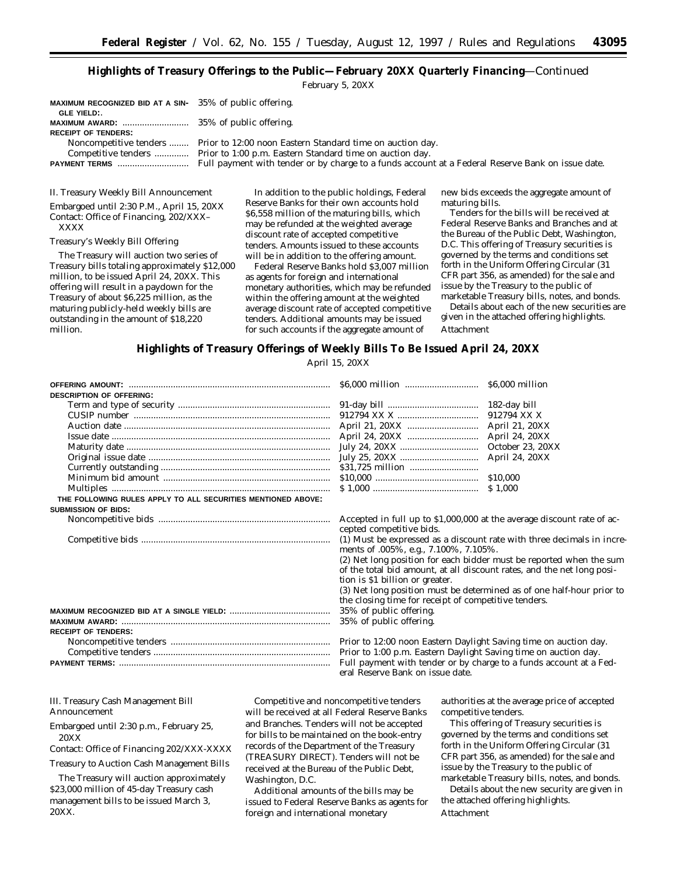# **Highlights of Treasury Offerings to the Public—February 20XX Quarterly Financing**—Continued

February 5, 20XX

| <b>MAXIMUM RECOGNIZED BID AT A SIN-</b> $35\%$ of public offering. |                                                                                   |
|--------------------------------------------------------------------|-----------------------------------------------------------------------------------|
| GLE YIELD: .                                                       |                                                                                   |
|                                                                    |                                                                                   |
| <b>RECEIPT OF TENDERS:</b>                                         |                                                                                   |
|                                                                    | Noncompetitive tenders  Prior to 12:00 noon Eastern Standard time on auction day. |
|                                                                    |                                                                                   |
|                                                                    |                                                                                   |

II. Treasury Weekly Bill Announcement

Embargoed until 2:30 P.M., April 15, 20XX Contact: Office of Financing, 202/XXX– XXXX

### Treasury's Weekly Bill Offering

The Treasury will auction two series of Treasury bills totaling approximately \$12,000 million, to be issued April 24, 20XX. This offering will result in a paydown for the Treasury of about \$6,225 million, as the maturing publicly-held weekly bills are outstanding in the amount of \$18,220 million.

In addition to the public holdings, Federal Reserve Banks for their own accounts hold \$6,558 million of the maturing bills, which may be refunded at the weighted average discount rate of accepted competitive tenders. Amounts issued to these accounts will be in addition to the offering amount.

Federal Reserve Banks hold \$3,007 million as agents for foreign and international monetary authorities, which may be refunded within the offering amount at the weighted average discount rate of accepted competitive tenders. Additional amounts may be issued for such accounts if the aggregate amount of

new bids exceeds the aggregate amount of maturing bills.

Tenders for the bills will be received at Federal Reserve Banks and Branches and at the Bureau of the Public Debt, Washington, D.C. This offering of Treasury securities is governed by the terms and conditions set forth in the Uniform Offering Circular (31 CFR part 356, as amended) for the sale and issue by the Treasury to the public of

marketable Treasury bills, notes, and bonds. Details about each of the new securities are given in the attached offering highlights. Attachment

### **Highlights of Treasury Offerings of Weekly Bills To Be Issued April 24, 20XX**

April 15, 20XX

|                                                              |                                                                                                                 | \$6,000 million  |
|--------------------------------------------------------------|-----------------------------------------------------------------------------------------------------------------|------------------|
| <b>DESCRIPTION OF OFFERING:</b>                              |                                                                                                                 |                  |
|                                                              |                                                                                                                 | 182-day bill     |
|                                                              |                                                                                                                 | 912794 XX X      |
|                                                              |                                                                                                                 | April 21, 20XX   |
|                                                              |                                                                                                                 | April 24, 20XX   |
|                                                              |                                                                                                                 | October 23, 20XX |
|                                                              |                                                                                                                 | April 24, 20XX   |
|                                                              |                                                                                                                 |                  |
|                                                              |                                                                                                                 | \$10.000         |
|                                                              |                                                                                                                 |                  |
| THE FOLLOWING RULES APPLY TO ALL SECURITIES MENTIONED ABOVE: |                                                                                                                 |                  |
| <b>SUBMISSION OF BIDS:</b>                                   |                                                                                                                 |                  |
|                                                              | Accepted in full up to \$1,000,000 at the average discount rate of ac-                                          |                  |
|                                                              | cepted competitive bids.                                                                                        |                  |
|                                                              | (1) Must be expressed as a discount rate with three decimals in incre-<br>ments of .005%, e.g., 7.100%, 7.105%. |                  |
|                                                              | (2) Net long position for each bidder must be reported when the sum                                             |                  |
|                                                              | of the total bid amount, at all discount rates, and the net long posi-                                          |                  |
|                                                              | tion is \$1 billion or greater.                                                                                 |                  |
|                                                              | (3) Net long position must be determined as of one half-hour prior to                                           |                  |
|                                                              | the closing time for receipt of competitive tenders.                                                            |                  |
|                                                              | 35% of public offering.                                                                                         |                  |
|                                                              | 35% of public offering.                                                                                         |                  |
| <b>RECEIPT OF TENDERS:</b>                                   |                                                                                                                 |                  |
|                                                              | Prior to 12:00 noon Eastern Daylight Saving time on auction day.                                                |                  |
|                                                              | Prior to 1:00 p.m. Eastern Daylight Saving time on auction day.                                                 |                  |
|                                                              | Full payment with tender or by charge to a funds account at a Fed-<br>eral Reserve Bank on issue date.          |                  |

III. Treasury Cash Management Bill Announcement

Embargoed until 2:30 p.m., February 25, 20XX

Contact: Office of Financing 202/XXX-XXXX

Treasury to Auction Cash Management Bills

The Treasury will auction approximately \$23,000 million of 45-day Treasury cash management bills to be issued March 3, 20XX.

Competitive and noncompetitive tenders will be received at all Federal Reserve Banks and Branches. Tenders will *not* be accepted for bills to be maintained on the book-entry records of the Department of the Treasury (TREASURY DIRECT). Tenders will *not* be received at the Bureau of the Public Debt, Washington, D.C.

Additional amounts of the bills may be issued to Federal Reserve Banks as agents for foreign and international monetary

authorities at the average price of accepted competitive tenders.

This offering of Treasury securities is governed by the terms and conditions set forth in the Uniform Offering Circular (31 CFR part 356, as amended) for the sale and issue by the Treasury to the public of marketable Treasury bills, notes, and bonds.

Details about the new security are given in the attached offering highlights.

### Attachment